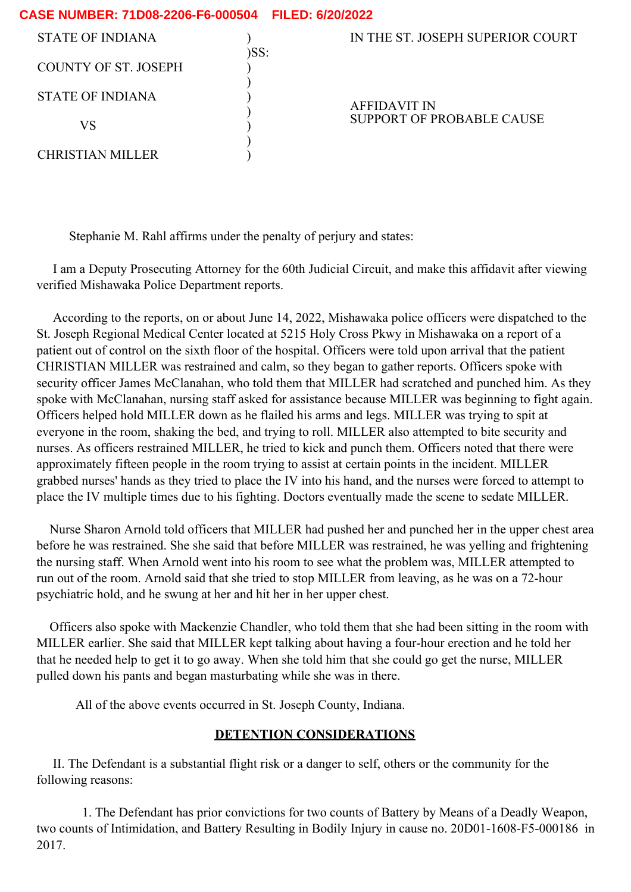| CASE NUMBER: 71D08-2206-F6-000504    FILED: 6/20/2022 |      |                                           |
|-------------------------------------------------------|------|-------------------------------------------|
| STATE OF INDIANA                                      |      | IN THE ST. JOSEPH SUPERIOR COURT          |
| <b>COUNTY OF ST. JOSEPH</b>                           | )SS: |                                           |
|                                                       |      |                                           |
| STATE OF INDIANA                                      |      | AFFIDAVIT IN<br>SUPPORT OF PROBABLE CAUSE |
| VS                                                    |      |                                           |
| CHRISTIAN MILLER                                      |      |                                           |

Stephanie M. Rahl affirms under the penalty of perjury and states:

I am a Deputy Prosecuting Attorney for the 60th Judicial Circuit, and make this affidavit after viewing verified Mishawaka Police Department reports.

According to the reports, on or about June 14, 2022, Mishawaka police officers were dispatched to the St. Joseph Regional Medical Center located at 5215 Holy Cross Pkwy in Mishawaka on a report of a patient out of control on the sixth floor of the hospital. Officers were told upon arrival that the patient CHRISTIAN MILLER was restrained and calm, so they began to gather reports. Officers spoke with security officer James McClanahan, who told them that MILLER had scratched and punched him. As they spoke with McClanahan, nursing staff asked for assistance because MILLER was beginning to fight again. Officers helped hold MILLER down as he flailed his arms and legs. MILLER was trying to spit at everyone in the room, shaking the bed, and trying to roll. MILLER also attempted to bite security and nurses. As officers restrained MILLER, he tried to kick and punch them. Officers noted that there were approximately fifteen people in the room trying to assist at certain points in the incident. MILLER grabbed nurses' hands as they tried to place the IV into his hand, and the nurses were forced to attempt to place the IV multiple times due to his fighting. Doctors eventually made the scene to sedate MILLER.

Nurse Sharon Arnold told officers that MILLER had pushed her and punched her in the upper chest area before he was restrained. She she said that before MILLER was restrained, he was yelling and frightening the nursing staff. When Arnold went into his room to see what the problem was, MILLER attempted to run out of the room. Arnold said that she tried to stop MILLER from leaving, as he was on a 72-hour psychiatric hold, and he swung at her and hit her in her upper chest.

Officers also spoke with Mackenzie Chandler, who told them that she had been sitting in the room with MILLER earlier. She said that MILLER kept talking about having a four-hour erection and he told her that he needed help to get it to go away. When she told him that she could go get the nurse, MILLER pulled down his pants and began masturbating while she was in there.

All of the above events occurred in St. Joseph County, Indiana.

## **DETENTION CONSIDERATIONS**

II. The Defendant is a substantial flight risk or a danger to self, others or the community for the following reasons:

1. The Defendant has prior convictions for two counts of Battery by Means of a Deadly Weapon, two counts of Intimidation, and Battery Resulting in Bodily Injury in cause no. 20D01-1608-F5-000186 in 2017.